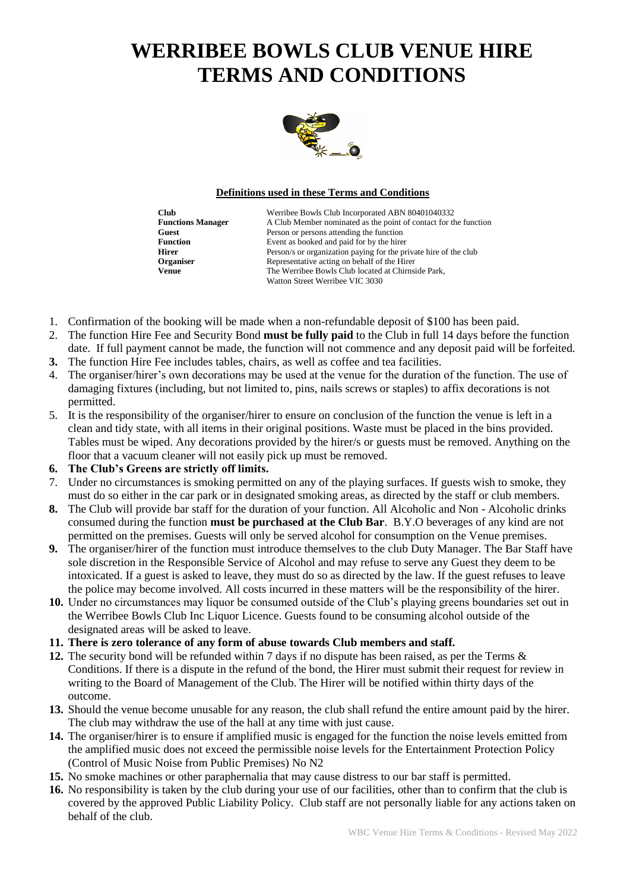## **WERRIBEE BOWLS CLUB VENUE HIRE TERMS AND CONDITIONS**



## **Definitions used in these Terms and Conditions**

| <b>Club</b>              | Werribee Bowls Club Incorporated ABN 80401040332                 |  |
|--------------------------|------------------------------------------------------------------|--|
| <b>Functions Manager</b> | A Club Member nominated as the point of contact for the function |  |
| Guest                    | Person or persons attending the function                         |  |
| <b>Function</b>          | Event as booked and paid for by the hirer                        |  |
| <b>Hirer</b>             | Person/s or organization paying for the private hire of the club |  |
| <b>Organiser</b>         | Representative acting on behalf of the Hirer                     |  |
| <b>Venue</b>             | The Werribee Bowls Club located at Chirnside Park,               |  |
|                          | Watton Street Werribee VIC 3030                                  |  |

- 1. Confirmation of the booking will be made when a non-refundable deposit of \$100 has been paid.
- 2. The function Hire Fee and Security Bond **must be fully paid** to the Club in full 14 days before the function date. If full payment cannot be made, the function will not commence and any deposit paid will be forfeited.
- **3.** The function Hire Fee includes tables, chairs, as well as coffee and tea facilities.
- 4. The organiser/hirer's own decorations may be used at the venue for the duration of the function. The use of damaging fixtures (including, but not limited to, pins, nails screws or staples) to affix decorations is not permitted.
- 5. It is the responsibility of the organiser/hirer to ensure on conclusion of the function the venue is left in a clean and tidy state, with all items in their original positions. Waste must be placed in the bins provided. Tables must be wiped. Any decorations provided by the hirer/s or guests must be removed. Anything on the floor that a vacuum cleaner will not easily pick up must be removed.
- **6. The Club's Greens are strictly off limits.**
- 7. Under no circumstances is smoking permitted on any of the playing surfaces. If guests wish to smoke, they must do so either in the car park or in designated smoking areas, as directed by the staff or club members.
- **8.** The Club will provide bar staff for the duration of your function. All Alcoholic and Non Alcoholic drinks consumed during the function **must be purchased at the Club Bar**. B.Y.O beverages of any kind are not permitted on the premises. Guests will only be served alcohol for consumption on the Venue premises.
- **9.** The organiser/hirer of the function must introduce themselves to the club Duty Manager. The Bar Staff have sole discretion in the Responsible Service of Alcohol and may refuse to serve any Guest they deem to be intoxicated. If a guest is asked to leave, they must do so as directed by the law. If the guest refuses to leave the police may become involved. All costs incurred in these matters will be the responsibility of the hirer.
- **10.** Under no circumstances may liquor be consumed outside of the Club's playing greens boundaries set out in the Werribee Bowls Club Inc Liquor Licence. Guests found to be consuming alcohol outside of the designated areas will be asked to leave.
- **11. There is zero tolerance of any form of abuse towards Club members and staff.**
- **12.** The security bond will be refunded within 7 days if no dispute has been raised, as per the Terms & Conditions. If there is a dispute in the refund of the bond, the Hirer must submit their request for review in writing to the Board of Management of the Club. The Hirer will be notified within thirty days of the outcome.
- **13.** Should the venue become unusable for any reason, the club shall refund the entire amount paid by the hirer. The club may withdraw the use of the hall at any time with just cause.
- **14.** The organiser/hirer is to ensure if amplified music is engaged for the function the noise levels emitted from the amplified music does not exceed the permissible noise levels for the Entertainment Protection Policy (Control of Music Noise from Public Premises) No N2
- **15.** No smoke machines or other paraphernalia that may cause distress to our bar staff is permitted.
- **16.** No responsibility is taken by the club during your use of our facilities, other than to confirm that the club is covered by the approved Public Liability Policy. Club staff are not personally liable for any actions taken on behalf of the club.